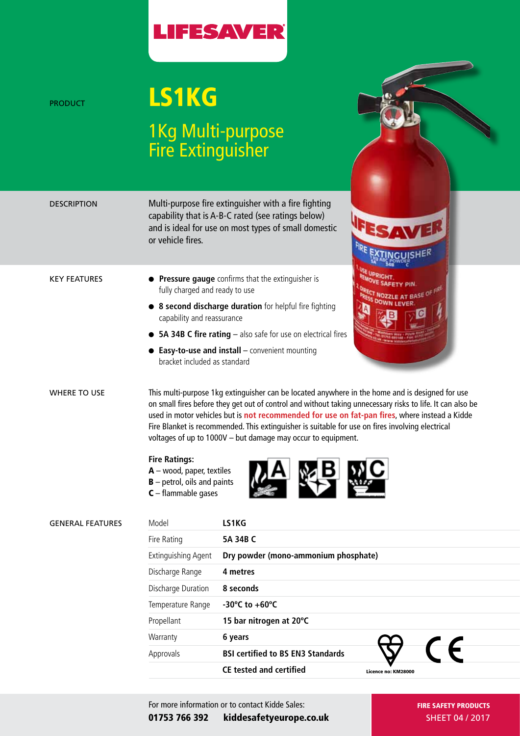

## PRODUCT **LS1KG** 1Kg Multi-purpose Fire Extinguisher

| DESCRIPTION             | or vehicle fires.                                                                                             | Multi-purpose fire extinguisher with a fire fighting<br>capability that is A-B-C rated (see ratings below)<br>and is ideal for use on most types of small domestic                                                                                                                                                                                                                                                                                                                 |  |
|-------------------------|---------------------------------------------------------------------------------------------------------------|------------------------------------------------------------------------------------------------------------------------------------------------------------------------------------------------------------------------------------------------------------------------------------------------------------------------------------------------------------------------------------------------------------------------------------------------------------------------------------|--|
| <b>KEY FEATURES</b>     | fully charged and ready to use<br>capability and reassurance<br>bracket included as standard                  | Pressure gauge confirms that the extinguisher is<br>• 8 second discharge duration for helpful fire fighting<br>• 5A 34B C fire rating - also safe for use on electrical fires<br>$\bullet$ Easy-to-use and install $-$ convenient mounting                                                                                                                                                                                                                                         |  |
| <b>WHERE TO USE</b>     | <b>Fire Ratings:</b><br>$A$ – wood, paper, textiles<br>$B$ – petrol, oils and paints<br>$C$ – flammable gases | This multi-purpose 1kg extinguisher can be located anywhere in the home and is designed for use<br>on small fires before they get out of control and without taking unnecessary risks to life. It can also be<br>used in motor vehicles but is not recommended for use on fat-pan fires, where instead a Kidde<br>Fire Blanket is recommended. This extinguisher is suitable for use on fires involving electrical<br>voltages of up to 1000V - but damage may occur to equipment. |  |
| <b>GENERAL FEATURES</b> | Model                                                                                                         | LS1KG                                                                                                                                                                                                                                                                                                                                                                                                                                                                              |  |
|                         | Fire Rating                                                                                                   | 5A 34B C                                                                                                                                                                                                                                                                                                                                                                                                                                                                           |  |
|                         | <b>Extinguishing Agent</b>                                                                                    | Dry powder (mono-ammonium phosphate)                                                                                                                                                                                                                                                                                                                                                                                                                                               |  |
|                         | Discharge Range                                                                                               | 4 metres                                                                                                                                                                                                                                                                                                                                                                                                                                                                           |  |
|                         |                                                                                                               |                                                                                                                                                                                                                                                                                                                                                                                                                                                                                    |  |

| Discharge Duration | 8 seconds                                |                     |
|--------------------|------------------------------------------|---------------------|
| Temperature Range  | -30°C to +60°C                           |                     |
| Propellant         | 15 bar nitrogen at 20°C                  |                     |
| Warranty           | 6 years                                  |                     |
| Approvals          | <b>BSI certified to BS EN3 Standards</b> |                     |
|                    | <b>CE tested and certified</b>           | Licence no: KM28000 |

For more information or to contact Kidde Sales: 01753 766 392 kiddesafetyeurope.co.uk FIRE SAFETY PRODUCTS SHEET 04 / 2017